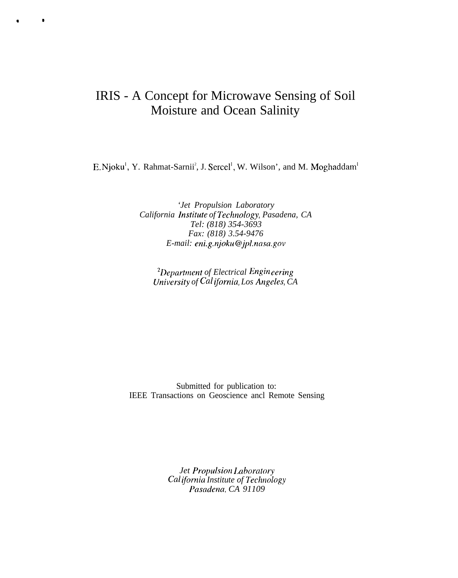# IRIS - A Concept for Microwave Sensing of Soil Moisture and Ocean Salinity

 $\bullet$ 

E. Njoku<sup>1</sup>, Y. Rahmat-Sarnii<sup>2</sup>, J. Sercel<sup>1</sup>, W. Wilson', and M. Moghaddam<sup>1</sup>

'Jet Propulsion Laboratory California Institute of Technology, Pasadena, CA Tel: (818) 354-3693 Fax: (818) 3.54-9476 E-mail: eni.g.njoku@jpl.nasa.gov

<sup>2</sup>Department of Electrical Engineering University of Cal ifornia, Los Angeles, CA

Submitted for publication to: IEEE Transactions on Geoscience ancl Remote Sensing

> **Jet Propulsion Laboratory** Cal ifornia Institute of Technology Pasadena, CA 91109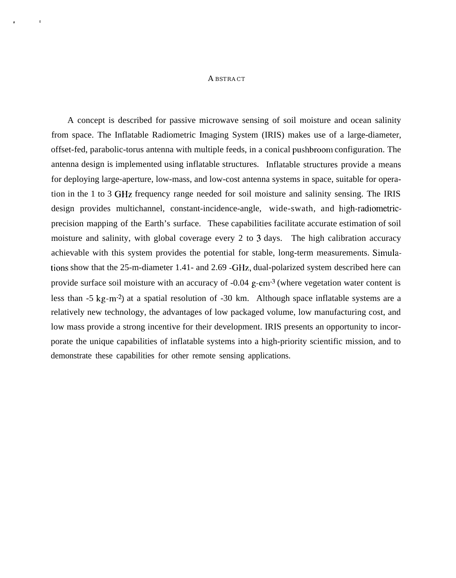#### A BSTRACT

 $\mathbf{r}$ 

A concept is described for passive microwave sensing of soil moisture and ocean salinity from space. The Inflatable Radiometric Imaging System (IRIS) makes use of a large-diameter, offset-fed, parabolic-torus antenna with multiple feeds, in a conical pushbroom configuration. The antenna design is implemented using inflatable structures. Inflatable structures provide a means for deploying large-aperture, low-mass, and low-cost antenna systems in space, suitable for operation in the 1 to 3 GHz frequency range needed for soil moisture and salinity sensing. The IRIS design provides multichannel, constant-incidence-angle, wide-swath, and high-radiometricprecision mapping of the Earth's surface. These capabilities facilitate accurate estimation of soil moisture and salinity, with global coverage every 2 to 3 days. The high calibration accuracy achievable with this system provides the potential for stable, long-term measurements. Sinmlations show that the 25-m-diameter 1.41- and 2.69 -GHz, dual-polarized system described here can provide surface soil moisture with an accuracy of  $-0.04$  g $-cm<sup>-3</sup>$  (where vegetation water content is less than -5 kg-m<sup>-2</sup>) at a spatial resolution of -30 km. Although space inflatable systems are a relatively new technology, the advantages of low packaged volume, low manufacturing cost, and low mass provide a strong incentive for their development. IRIS presents an opportunity to incorporate the unique capabilities of inflatable systems into a high-priority scientific mission, and to demonstrate these capabilities for other remote sensing applications.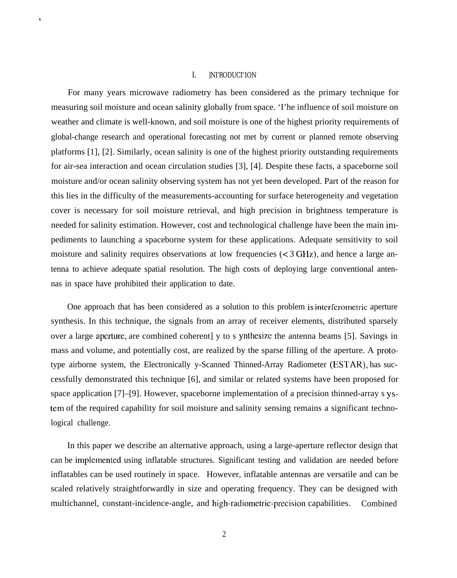## I. **INI'RODUCI'1ON**

**1**

For many years microwave radiometry has been considered as the primary technique for measuring soil moisture and ocean salinity globally from space. 'I'he influence of soil moisture on weather and climate is well-known, and soil moisture is one of the highest priority requirements of global-change research and operational forecasting not met by current or planned remote observing platforms [1], [2]. Similarly, ocean salinity is one of the highest priority outstanding requirements for air-sea interaction and ocean circulation studies [3], [4]. Despite these facts, a spaceborne soil moisture and/or ocean salinity observing system has not yet been developed. Part of the reason for this lies in the difficulty of the measurements-accounting for surface heterogeneity and vegetation cover is necessary for soil moisture retrieval, and high precision in brightness temperature is needed for salinity estimation. However, cost and technological challenge have been the main impediments to launching a spaceborne system for these applications. Adequate sensitivity to soil moisture and salinity requires observations at low frequencies  $(< 3 \text{ GHz}$ ), and hence a large antenna to achieve adequate spatial resolution. The high costs of deploying large conventional antennas in space have prohibited their application to date.

One approach that has been considered as a solution to this problem is interfcrometric aperture synthesis. In this technique, the signals from an array of receiver elements, distributed sparsely over a large aperture, are combined coherent] y to s ynthesize the antenna beams [5]. Savings in mass and volume, and potentially cost, are realized by the sparse filling of the aperture. A prototype airborne system, the Electronically y-Scanned Thinned-Array Radiometer (ESTAR), has successfully demonstrated this technique [6], and similar or related systems have been proposed for space application [7]–[9]. However, spaceborne implementation of a precision thinned-array s ystem of the required capability for soil moisture and salinity sensing remains a significant technological challenge.

In this paper we describe an alternative approach, using a large-aperture reflector design that can be implemented using inflatable structures. Significant testing and validation are needed before inflatables can be used routinely in space. However, inflatable antennas are versatile and can be scaled relatively straightforwardly in size and operating frequency. They can be designed with multichannel, constant-incidence-angle, and high-radiornetric-precision capabilities. Combined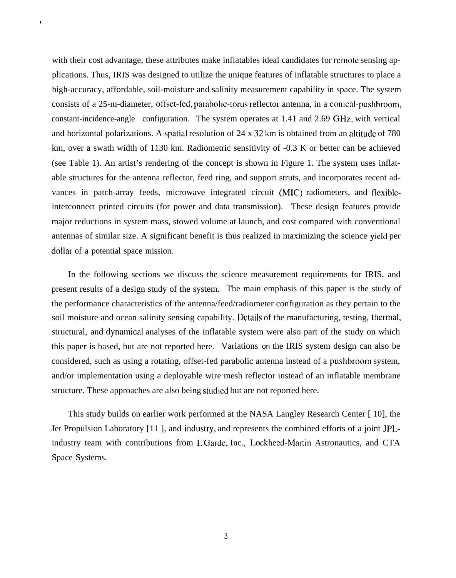with their cost advantage, these attributes make inflatables ideal candidates for remote sensing applications. Thus, IRIS was designed to utilize the unique features of inflatable structures to place a high-accuracy, affordable, soil-moisture and salinity measurement capability in space. The system consists of a 25-m-diameter, offset-fed, parabolic-torus reflector antenna, in a conical-pushbroom, constant-incidence-angle configuration. The system operates at 1.41 and 2.69 GHz, with vertical and horizontal polarizations. A spatial resolution of  $24 \times 32$  km is obtained from an altitude of 780 km, over a swath width of 1130 km. Radiometric sensitivity of -0.3 K or better can be achieved (see Table 1). An artist's rendering of the concept is shown in Figure 1. The system uses inflatable structures for the antenna reflector, feed ring, and support struts, and incorporates recent advances in patch-array feeds, microwave integrated circuit (MIC) radiometers, and flcxibleinterconnect printed circuits (for power and data transmission). These design features provide major reductions in system mass, stowed volume at launch, and cost compared with conventional antennas of similar size. A significant benefit is thus realized in maximizing the science yieid per dollar of a potential space mission.

,

In the following sections we discuss the science measurement requirements for IRIS, and present results of a design study of the system. The main emphasis of this paper is the study of the performance characteristics of the antenna/feed/radiometer configuration as they pertain to the soil moisture and ocean salinity sensing capability. Detaiis of the manufacturing, testing, thermai, structural, and dynamical analyses of the inflatable system were also part of the study on which this paper is based, but are not reported here. Variations on the IRIS system design can also be considered, such as using a rotating, offset-fed parabolic antenna instead of a pushbroom system, and/or implementation using a deployable wire mesh reflector instead of an inflatable membrane structure. These approaches are also being studied but are not reported here.

This study builds on earlier work performed at the NASA Langley Research Center [ 10], the Jet Propulsion Laboratory [11], and industry, and represents the combined efforts of a joint JPLindustry team with contributions from L'Garde, Inc., Lockheed-Martin Astronautics, and CTA Space Systems.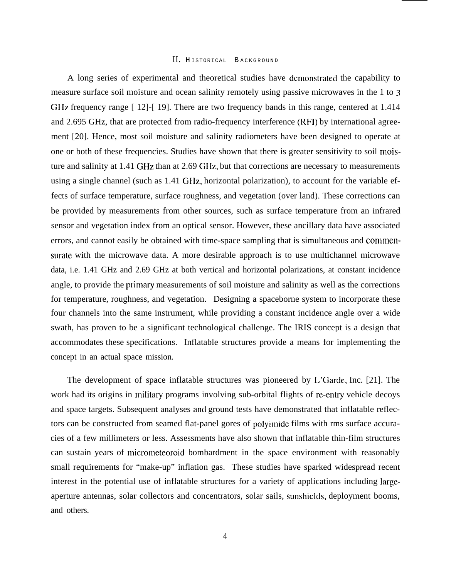#### II. HISTORICAL BACKGROUND

A long series of experimental and theoretical studies have demonstrated the capability to measure surface soil moisture and ocean salinity remotely using passive microwaves in the 1 to 3 GHz frequency range [ 12]-[ 19]. There are two frequency bands in this range, centered at 1.414 and 2.695 GHz, that are protected from radio-frequency interference (RFI) by international agreement [20]. Hence, most soil moisture and salinity radiometers have been designed to operate at one or both of these frequencies. Studies have shown that there is greater sensitivity to soil moisture and salinity at 1.41 GHz than at 2.69 GHz, but that corrections are necessary to measurements using a single channel (such as 1.41 GIIz, horizontal polarization), to account for the variable effects of surface temperature, surface roughness, and vegetation (over land). These corrections can be provided by measurements from other sources, such as surface temperature from an infrared sensor and vegetation index from an optical sensor. However, these ancillary data have associated errors, and cannot easily be obtained with time-space sampling that is simultaneous and commensurate with the microwave data. A more desirable approach is to use multichannel microwave data, i.e. 1.41 GHz and 2.69 GHz at both vertical and horizontal polarizations, at constant incidence angle, to provide the primaty measurements of soil moisture and salinity as well as the corrections for temperature, roughness, and vegetation. Designing a spaceborne system to incorporate these four channels into the same instrument, while providing a constant incidence angle over a wide swath, has proven to be a significant technological challenge. The IRIS concept is a design that accommodates these specifications. Inflatable structures provide a means for implementing the concept in an actual space mission.

The development of space inflatable structures was pioneered by L'Garde, Inc. [21]. The work had its origins in militaty programs involving sub-orbital flights of re-entry vehicle decoys and space targets. Subsequent analyses and ground tests have demonstrated that inflatable reflectors can be constructed from seamed flat-panel gores of polyimide films with rms surface accuracies of a few millimeters or less. Assessments have also shown that inflatable thin-film structures can sustain years of micrometeoroid bombardment in the space environment with reasonably small requirements for "make-up" inflation gas. These studies have sparked widespread recent interest in the potential use of inflatable structures for a variety of applications including largeaperture antennas, solar collectors and concentrators, solar sails, sunshields, deployment booms, and others.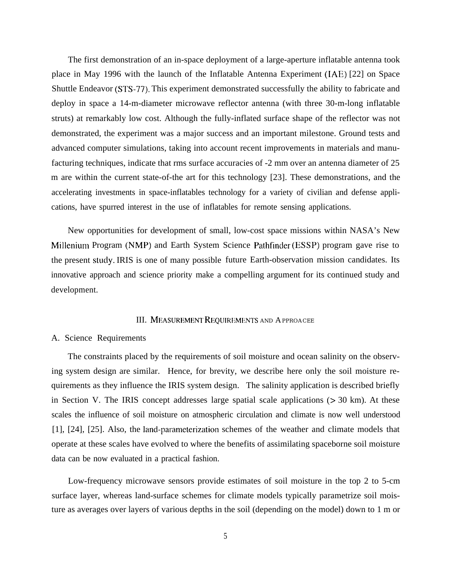The first demonstration of an in-space deployment of a large-aperture inflatable antenna took place in May 1996 with the launch of the Inflatable Antenna Experiment (IAE) [22] on Space Shuttle Endeavor (STS-77). This experiment demonstrated successfully the ability to fabricate and deploy in space a 14-m-diameter microwave reflector antenna (with three 30-m-long inflatable struts) at remarkably low cost. Although the fully-inflated surface shape of the reflector was not demonstrated, the experiment was a major success and an important milestone. Ground tests and advanced computer simulations, taking into account recent improvements in materials and manufacturing techniques, indicate that rms surface accuracies of -2 mm over an antenna diameter of 25 m are within the current state-of-the art for this technology [23]. These demonstrations, and the accelerating investments in space-inflatables technology for a variety of civilian and defense applications, have spurred interest in the use of inflatables for remote sensing applications.

New opportunities for development of small, low-cost space missions within NASA's New Millenium Program (NMP) and Earth System Science Pathfinder (ESSP) program gave rise to the present study. IRIS is one of many possible future Earth-observation mission candidates. Its innovative approach and science priority make a compelling argument for its continued study and development.

#### III. MEASUREMENT REQUIREMENTS AND APPROACEE

#### A. Science Requirements

The constraints placed by the requirements of soil moisture and ocean salinity on the observing system design are similar. Hence, for brevity, we describe here only the soil moisture requirements as they influence the IRIS system design. The salinity application is described briefly in Section V. The IRIS concept addresses large spatial scale applications  $(> 30 \text{ km})$ . At these scales the influence of soil moisture on atmospheric circulation and climate is now well understood [1], [24], [25]. Also, the land-parameterization schemes of the weather and climate models that operate at these scales have evolved to where the benefits of assimilating spaceborne soil moisture data can be now evaluated in a practical fashion.

Low-frequency microwave sensors provide estimates of soil moisture in the top 2 to 5-cm surface layer, whereas land-surface schemes for climate models typically parametrize soil moisture as averages over layers of various depths in the soil (depending on the model) down to 1 m or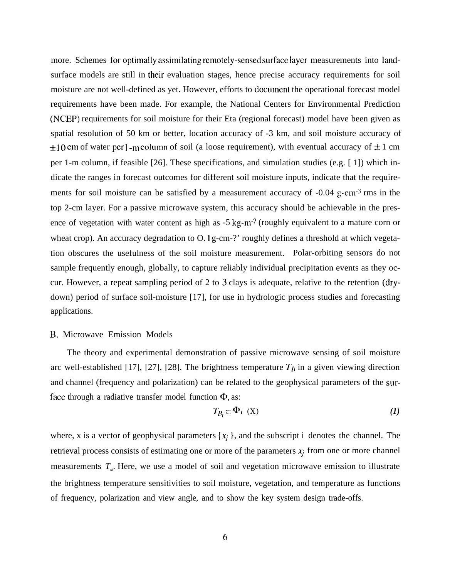more. Schemes for optimally assimilating remotely-sensed surface layer measurements into landsurface models are still in their evaluation stages, hence precise accuracy requirements for soil moisture are not well-defined as yet. However, efforts to document the operational forecast model requirements have been made. For example, the National Centers for Environmental Prediction (NCEP) requirements for soil moisture for their Eta (regional forecast) model have been given as spatial resolution of 50 km or better, location accuracy of -3 km, and soil moisture accuracy of  $\pm 10$  cm of water per ] -m column of soil (a loose requirement), with eventual accuracy of  $\pm 1$  cm per 1-m column, if feasible [26]. These specifications, and simulation studies (e.g. [ 1]) which indicate the ranges in forecast outcomes for different soil moisture inputs, indicate that the requirements for soil moisture can be satisfied by a measurement accuracy of  $-0.04$  g $-cm<sup>-3</sup>$  rms in the top 2-cm layer. For a passive microwave system, this accuracy should be achievable in the presence of vegetation with water content as high as  $-5 \text{ kg-m}^2$  (roughly equivalent to a mature corn or wheat crop). An accuracy degradation to O. 1 g-cm-?' roughly defines a threshold at which vegetation obscures the usefulness of the soil moisture measurement. Polar-orbiting sensors do not sample frequently enough, globally, to capture reliably individual precipitation events as they occur. However, a repeat sampling period of 2 to 3 clays is adequate, relative to the retention (drydown) period of surface soil-moisture [17], for use in hydrologic process studies and forecasting applications.

# B. Microwave Emission Models

The theory and experimental demonstration of passive microwave sensing of soil moisture arc well-established [17], [27], [28]. The brightness temperature  $T_B$  in a given viewing direction and channel (frequency and polarization) can be related to the geophysical parameters of the surface through a radiative transfer model function  $\Phi$ , as:

$$
T_{B_i} = \Phi_i \quad (X) \tag{1}
$$

where, x is a vector of geophysical parameters  $\{x_i\}$ , and the subscript i denotes the channel. The retrieval process consists of estimating one or more of the parameters  $x_i$  from one or more channel measurements *Tni.* Here, we use a model of soil and vegetation microwave emission to illustrate the brightness temperature sensitivities to soil moisture, vegetation, and temperature as functions of frequency, polarization and view angle, and to show the key system design trade-offs.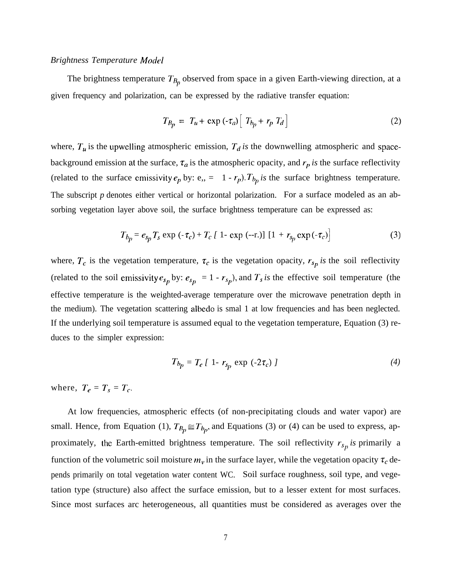### *Brightness Temperature Model*

The brightness temperature  $T_{B_p}$  observed from space in a given Earth-viewing direction, at a given frequency and polarization, can be expressed by the radiative transfer equation:

$$
T_{B_p} = T_u + \exp\left(-\tau_a\right) \left[T_{b_p} + r_p \ T_d\right] \tag{2}
$$

where,  $T_u$  is the upwelling atmospheric emission,  $T_d$  is the downwelling atmospheric and spacebackground emission at the surface,  $\tau_a$  is the atmospheric opacity, and  $r_p$  is the surface reflectivity (related to the surface emissivity  $e_p$  by: e,, = 1 -  $r_p$ ).  $T_{b_p}$  is the surface brightness temperature. The subscript *p* denotes either vertical or horizontal polarization. For a surface modeled as an absorbing vegetation layer above soil, the surface brightness temperature can be expressed as:

$$
T_{b_p} = e_{s_p} T_s \exp(-\tau_c) + T_c [1 - \exp(-r_c)] [1 + r_{s_p} \exp(-\tau_c)]
$$
\n(3)

where,  $T_c$  is the vegetation temperature,  $\tau_c$  is the vegetation opacity,  $r_{s_p}$  is the soil reflectivity (related to the soil emissivity  $e_{s_p}$  by:  $e_{s_p} = 1 - r_{s_p}$ ), and  $T_s$  *is* the effective soil temperature (the effective temperature is the weighted-average temperature over the microwave penetration depth in the medium). The vegetation scattering albcdo is smal 1 at low frequencies and has been neglected. If the underlying soil temperature is assumed equal to the vegetation temperature, Equation (3) reduces to the simpler expression:

$$
T_{b_p} = T_e \left[ 1 - r_{s_p} \exp \left( -2\tau_c \right) \right] \tag{4}
$$

where,  $T_e = T_s = T_c$ .

At low frequencies, atmospheric effects (of non-precipitating clouds and water vapor) are small. Hence, from Equation (1),  $T_{B_p} \cong T_{b_p}$ , and Equations (3) or (4) can be used to express, approximately, the Earth-emitted brightness temperature. The soil reflectivity  $r_{s_p}$  is primarily a function of the volumetric soil moisture  $m<sub>v</sub>$  in the surface layer, while the vegetation opacity  $\tau_c$  depends primarily on total vegetation water content WC. Soil surface roughness, soil type, and vegetation type (structure) also affect the surface emission, but to a lesser extent for most surfaces. Since most surfaces arc heterogeneous, all quantities must be considered as averages over the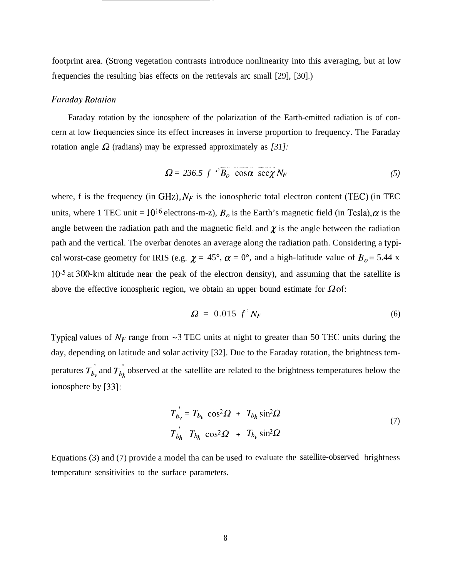footprint area. (Strong vegetation contrasts introduce nonlinearity into this averaging, but at low frequencies the resulting bias effects on the retrievals arc small [29], [30].)

# *Faraday* Rotation

Faraday rotation by the ionosphere of the polarization of the Earth-emitted radiation is of concern at low frequencies since its effect increases in inverse proportion to frequency. The Faraday rotation angle Q (radians) may be expressed approximately as *[31]:*

$$
\Omega = 236.5 \ f^{-2} B_o \ \cos \alpha \ \sec \chi \ N_F \tag{5}
$$

where, f is the frequency (in GHz),  $N_F$  is the ionospheric total electron content (TEC) (in TEC units, where 1 TEC unit = 10<sup>16</sup> electrons-m-z),  $B<sub>o</sub>$  is the Earth's magnetic field (in Tesla),  $\alpha$  is the angle between the radiation path and the magnetic field, and  $\chi$  is the angle between the radiation path and the vertical. The overbar denotes an average along the radiation path. Considering a typical worst-case geometry for IRIS (e.g.  $\chi = 45^{\circ}$ ,  $\alpha = 0^{\circ}$ , and a high-latitude value of  $B_0 = 5.44$  x  $10<sup>-5</sup>$  at 300-km altitude near the peak of the electron density), and assuming that the satellite is above the effective ionospheric region, we obtain an upper bound estimate for  $\Omega$  of:

$$
\Omega = 0.015 f^2 N_F \tag{6}
$$

Typical values of  $N_F$  range from ~3 TEC units at night to greater than 50 TEC units during the day, depending on latitude and solar activity [32]. Due to the Faraday rotation, the brightness temperatures  $T_{b}^{'}$  and  $T_{b}^{'}$  observed at the satellite are related to the brightness temperatures below the ionosphere by [33]:

$$
T_{b_v} = T_{b_v} \cos^2 \Omega + T_{b_h} \sin^2 \Omega
$$
  
\n
$$
T_{b_h}^{\dagger} - T_{b_h} \cos^2 \Omega + T_{b_v} \sin^2 \Omega
$$
\n(7)

Equations (3) and (7) provide a model tha can be used to evaluate the satellite-observed brightness temperature sensitivities to the surface parameters.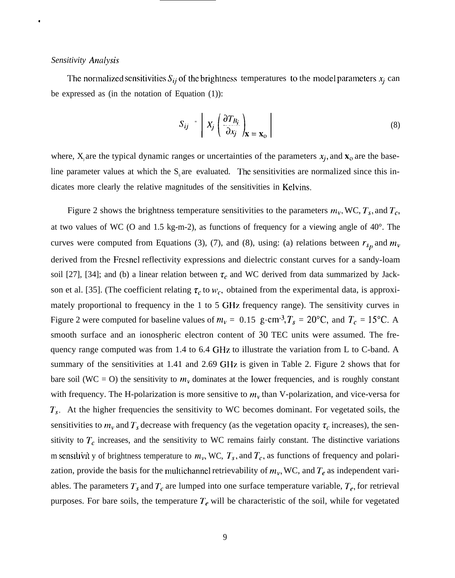#### *Sensitivity Atmlysis*

,

The normalized sensitivities  $S_{ij}$  of the brightness temperatures to the model parameters  $x_i$  can be expressed as (in the notation of Equation (1)):

$$
S_{ij} = \left| X_j \left( \frac{\partial T_{B_i}}{\partial x_j} \right)_{\mathbf{X} = \mathbf{X}_0} \right| \tag{8}
$$

where,  $X_i$  are the typical dynamic ranges or uncertainties of the parameters  $x_j$ , and  $x_o$  are the baseline parameter values at which the  $S<sub>ii</sub>$  are evaluated. The sensitivities are normalized since this indicates more clearly the relative magnitudes of the sensitivities in Kelvins.

Figure 2 shows the brightness temperature sensitivities to the parameters  $m<sub>v</sub>$ , WC,  $T<sub>s</sub>$ , and  $T<sub>c</sub>$ , at two values of WC (O and 1.5 kg-m-2), as functions of frequency for a viewing angle of 40°. The curves were computed from Equations (3), (7), and (8), using: (a) relations between  $r_{s_p}$  and  $m_v$ derived from the Fresnel reflectivity expressions and dielectric constant curves for a sandy-loam soil [27], [34]; and (b) a linear relation between  $\tau_c$  and WC derived from data summarized by Jackson et al. [35]. (The coefficient relating  $\tau_c$  to  $w_c$ , obtained from the experimental data, is approximately proportional to frequency in the 1 to 5 GHz frequency range). The sensitivity curves in Figure 2 were computed for baseline values of  $m_v = 0.15$  g-cm<sup>-3</sup>,  $T_s = 20$ °C, and  $T_c = 15$ °C. A smooth surface and an ionospheric electron content of 30 TEC units were assumed. The frequency range computed was from 1.4 to 6.4 GHz to illustrate the variation from L to C-band. A summary of the sensitivities at 1.41 and 2.69 GHz is given in Table 2. Figure 2 shows that for bare soil (WC = O) the sensitivity to  $m<sub>v</sub>$  dominates at the lower frequencies, and is roughly constant with frequency. The H-polarization is more sensitive to  $m<sub>v</sub>$  than V-polarization, and vice-versa for  $T_s$ . At the higher frequencies the sensitivity to WC becomes dominant. For vegetated soils, the sensitivities to  $m<sub>v</sub>$  and  $T<sub>s</sub>$  decrease with frequency (as the vegetation opacity  $\tau<sub>c</sub>$  increases), the sensitivity to  $T_c$  increases, and the sensitivity to WC remains fairly constant. The distinctive variations m sensitivity of brightness temperature to  $m<sub>v</sub>$ , WC,  $T<sub>s</sub>$ , and  $T<sub>c</sub>$ , as functions of frequency and polarization, provide the basis for the multichannel retrievability of  $m<sub>v</sub>$ , WC, and  $T<sub>e</sub>$  as independent variables. The parameters  $T_s$  and  $T_c$  are lumped into one surface temperature variable,  $T_e$ , for retrieval purposes. For bare soils, the temperature  $T_e$  will be characteristic of the soil, while for vegetated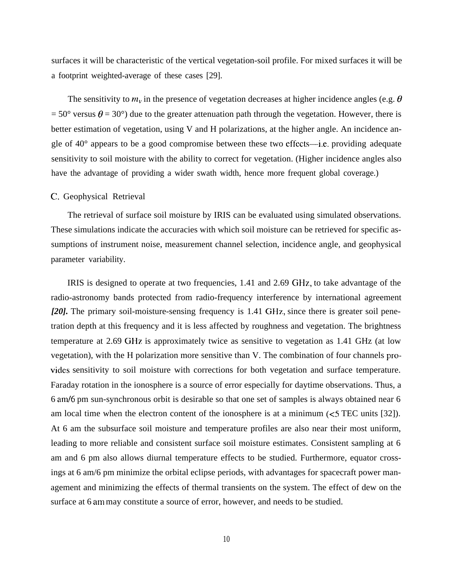surfaces it will be characteristic of the vertical vegetation-soil profile. For mixed surfaces it will be a footprint weighted-average of these cases [29].

The sensitivity to  $m<sub>v</sub>$  in the presence of vegetation decreases at higher incidence angles (e.g.  $\theta$ )  $= 50^{\circ}$  versus  $\theta = 30^{\circ}$ ) due to the greater attenuation path through the vegetation. However, there is better estimation of vegetation, using V and H polarizations, at the higher angle. An incidence angle of 40° appears to be a good compromise between these two effects—i.e. providing adequate sensitivity to soil moisture with the ability to correct for vegetation. (Higher incidence angles also have the advantage of providing a wider swath width, hence more frequent global coverage.)

### C. Geophysical Retrieval

The retrieval of surface soil moisture by IRIS can be evaluated using simulated observations. These simulations indicate the accuracies with which soil moisture can be retrieved for specific assumptions of instrument noise, measurement channel selection, incidence angle, and geophysical parameter variability.

IRIS is designed to operate at two frequencies, 1.41 and 2.69 GHz, to take advantage of the radio-astronomy bands protected from radio-frequency interference by international agreement *[20].* The primary soil-moisture-sensing frequency is 1.41 GHz, since there is greater soil penetration depth at this frequency and it is less affected by roughness and vegetation. The brightness temperature at 2.69 GHz is approximately twice as sensitive to vegetation as 1.41 GHz (at low vegetation), with the H polarization more sensitive than V. The combination of four channels provides sensitivity to soil moisture with corrections for both vegetation and surface temperature. Faraday rotation in the ionosphere is a source of error especially for daytime observations. Thus, a 6 anti6 pm sun-synchronous orbit is desirable so that one set of samples is always obtained near 6 am local time when the electron content of the ionosphere is at a minimum  $\left(\leq 5 \text{ TEC units} \left[32\right]\right)$ . At 6 am the subsurface soil moisture and temperature profiles are also near their most uniform, leading to more reliable and consistent surface soil moisture estimates. Consistent sampling at 6 am and 6 pm also allows diurnal temperature effects to be studied. Furthermore, equator crossings at 6 am/6 pm minimize the orbital eclipse periods, with advantages for spacecraft power management and minimizing the effects of thermal transients on the system. The effect of dew on the surface at 6 am may constitute a source of error, however, and needs to be studied.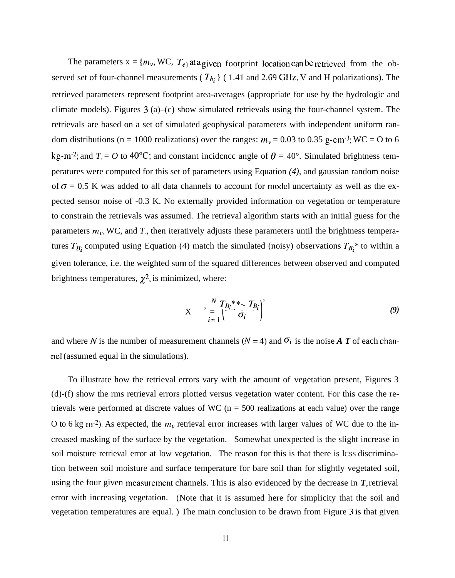The parameters  $x = \{m_v, \text{WC}, T_e\}$  at a given footprint location can be retrieved from the observed set of four-channel measurements ( $T_{b_i}$ } (1.41 and 2.69 GHz, V and H polarizations). The retrieved parameters represent footprint area-averages (appropriate for use by the hydrologic and climate models). Figures 3 (a)–(c) show simulated retrievals using the four-channel system. The retrievals are based on a set of simulated geophysical parameters with independent uniform random distributions (n = 1000 realizations) over the ranges:  $m<sub>v</sub> = 0.03$  to 0.35 g-cm<sup>-3</sup>; WC = O to 6 kg-m<sup>-2</sup>; and  $T_e = O$  to 40°C; and constant incidence angle of  $\theta = 40^\circ$ . Simulated brightness temperatures were computed for this set of parameters using Equation *(4),* and gaussian random noise of  $\sigma$  = 0.5 K was added to all data channels to account for model uncertainty as well as the expected sensor noise of -0.3 K. No externally provided information on vegetation or temperature to constrain the retrievals was assumed. The retrieval algorithm starts with an initial guess for the parameters  $m<sub>v</sub>$ , WC, and  $T<sub>e</sub>$ , then iteratively adjusts these parameters until the brightness temperatures  $T_{B_i}$  computed using Equation (4) match the simulated (noisy) observations  $T_{B_i}$ <sup>\*</sup> to within a given tolerance, i.e. the weighted sum of the squared differences between observed and computed brightness temperatures,  $\chi^2$ , is minimized, where:

ized, where:  
\n
$$
X = \sum_{i=1}^{N} \left( \frac{T_{B_i^*}}{\sigma_i} + T_{B_i} \right)^2
$$
\n(9)

and where N is the number of measurement channels  $(N = 4)$  and  $\sigma_i$  is the noise A T of each channel (assumed equal in the simulations).

To illustrate how the retrieval errors vary with the amount of vegetation present, Figures 3 (d)-(f) show the rms retrieval errors plotted versus vegetation water content. For this case the retrievals were performed at discrete values of WC ( $n = 500$  realizations at each value) over the range O to 6 kg m<sup>-2</sup>). As expected, the  $m<sub>v</sub>$  retrieval error increases with larger values of WC due to the increased masking of the surface by the vegetation. Somewhat unexpected is the slight increase in soil moisture retrieval error at low vegetation. The reason for this is that there is lcss discrimination between soil moisture and surface temperature for bare soil than for slightly vegetated soil, using the four given measurement channels. This is also evidenced by the decrease in  $T<sub>e</sub>$  retrieval error with increasing vegetation. (Note that it is assumed here for simplicity that the soil and vegetation temperatures are equal. ) The main conclusion to be drawn from Figure 3 is that given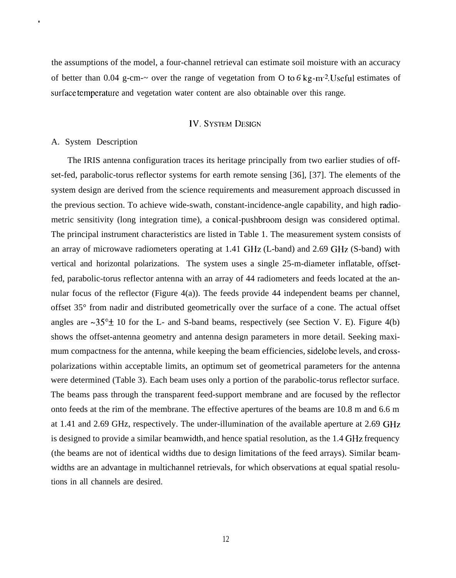the assumptions of the model, a four-channel retrieval can estimate soil moisture with an accuracy of better than 0.04 g-cm- $\sim$  over the range of vegetation from O to 6 kg-m<sup>-2</sup>. Useful estimates of surface temperature and vegetation water content are also obtainable over this range.

# **IV. SYSTEM DESIGN**

# A. System Description

●

The IRIS antenna configuration traces its heritage principally from two earlier studies of offset-fed, parabolic-torus reflector systems for earth remote sensing [36], [37]. The elements of the system design are derived from the science requirements and measurement approach discussed in the previous section. To achieve wide-swath, constant-incidence-angle capability, and high radiometric sensitivity (long integration time), a conical-pushbroom design was considered optimal. The principal instrument characteristics are listed in Table 1. The measurement system consists of an array of microwave radiometers operating at  $1.41$  GHz (L-band) and  $2.69$  GHz (S-band) with vertical and horizontal polarizations. The system uses a single 25-m-diameter inflatable, offsetfed, parabolic-torus reflector antenna with an array of 44 radiometers and feeds located at the annular focus of the reflector (Figure 4(a)). The feeds provide 44 independent beams per channel, offset 35° from nadir and distributed geometrically over the surface of a cone. The actual offset angles are  $\sim$ 35° $\pm$  10 for the L- and S-band beams, respectively (see Section V. E). Figure 4(b) shows the offset-antenna geometry and antenna design parameters in more detail. Seeking maximum compactness for the antenna, while keeping the beam efficiencies, sidelobc levels, and crosspolarizations within acceptable limits, an optimum set of geometrical parameters for the antenna were determined (Table 3). Each beam uses only a portion of the parabolic-torus reflector surface. The beams pass through the transparent feed-support membrane and are focused by the reflector onto feeds at the rim of the membrane. The effective apertures of the beams are 10.8 m and 6.6 m at 1.41 and 2.69 GHz, respectively. The under-illumination of the available aperture at 2.69 GHz is designed to provide a similar beamwidth, and hence spatial resolution, as the 1.4 GHz frequency (the beams are not of identical widths due to design limitations of the feed arrays). Similar bcanlwidths are an advantage in multichannel retrievals, for which observations at equal spatial resolutions in all channels are desired.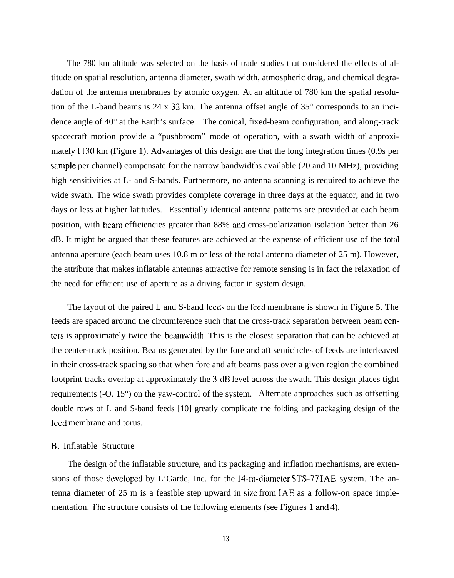The 780 km altitude was selected on the basis of trade studies that considered the effects of altitude on spatial resolution, antenna diameter, swath width, atmospheric drag, and chemical degradation of the antenna membranes by atomic oxygen. At an altitude of 780 km the spatial resolution of the L-band beams is 24 x 32 km. The antenna offset angle of 35° corresponds to an incidence angle of 40° at the Earth's surface. The conical, fixed-beam configuration, and along-track spacecraft motion provide a "pushbroom" mode of operation, with a swath width of approximately 1130 km (Figure 1). Advantages of this design are that the long integration times (0.9s per sample per channel) compensate for the narrow bandwidths available (20 and 10 MHz), providing high sensitivities at L- and S-bands. Furthermore, no antenna scanning is required to achieve the wide swath. The wide swath provides complete coverage in three days at the equator, and in two days or less at higher latitudes. Essentially identical antenna patterns are provided at each beam position, with beam efficiencies greater than 88% and cross-polarization isolation better than 26 dB. It might be argued that these features are achieved at the expense of efficient use of the total antenna aperture (each beam uses 10.8 m or less of the total antenna diameter of 25 m). However, the attribute that makes inflatable antennas attractive for remote sensing is in fact the relaxation of the need for efficient use of aperture as a driving factor in system design.

The layout of the paired L and S-band feeds on the feed membrane is shown in Figure 5. The feeds are spaced around the circumference such that the cross-track separation between beam centers is approximately twice the beamwidth. This is the closest separation that can be achieved at the center-track position. Beams generated by the fore and aft semicircles of feeds are interleaved in their cross-track spacing so that when fore and aft beams pass over a given region the combined footprint tracks overlap at approximately the 3-dB level across the swath. This design places tight requirements (-O. 15°) on the yaw-control of the system. Alternate approaches such as offsetting double rows of L and S-band feeds [10] greatly complicate the folding and packaging design of the feecl membrane and torus.

#### B. Inflatable Structure

The design of the inflatable structure, and its packaging and inflation mechanisms, are extensions of those developed by L'Garde, Inc. for the 14-m-diameter STS-77 IAE system. The antenna diameter of 25 m is a feasible step upward in size from IAE as a follow-on space implementation. The structure consists of the following elements (see Figures 1 and 4).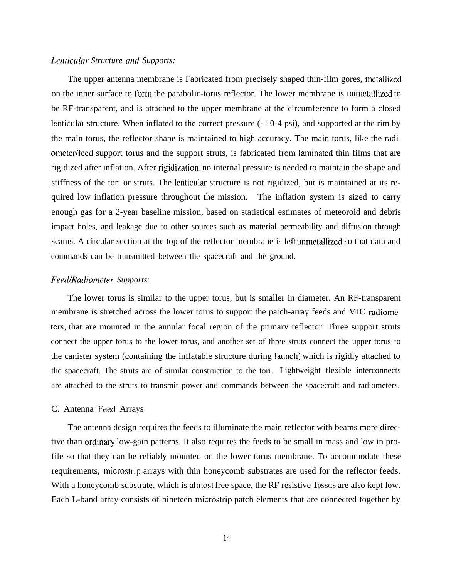#### *Lenticular Structure mu! Supports:*

The upper antenna membrane is Fabricated from precisely shaped thin-film gores, mctallized on the inner surface to form the parabolic-torus reflector. The lower membrane is unmetallized to be RF-transparent, and is attached to the upper membrane at the circumference to form a closed lenticular structure. When inflated to the correct pressure (- 10-4 psi), and supported at the rim by the main torus, the reflector shape is maintained to high accuracy. The main torus, like the radiometer/feed support torus and the support struts, is fabricated from laminated thin films that are rigidized after inflation. After rigidization, no internal pressure is needed to maintain the shape and stiffness of the tori or struts. The lenticular structure is not rigidized, but is maintained at its required low inflation pressure throughout the mission. The inflation system is sized to carry enough gas for a 2-year baseline mission, based on statistical estimates of meteoroid and debris impact holes, and leakage due to other sources such as material permeability and diffusion through scams. A circular section at the top of the reflector membrane is left unmetallized so that data and commands can be transmitted between the spacecraft and the ground.

# *Feed/Rdiometer Supports:*

The lower torus is similar to the upper torus, but is smaller in diameter. An RF-transparent membrane is stretched across the lower torus to support the patch-array feeds and MIC radiometers, that are mounted in the annular focal region of the primary reflector. Three support struts connect the upper torus to the lower torus, and another set of three struts connect the upper torus to the canister system (containing the inflatable structure during ]aunch) which is rigidly attached to the spacecraft. The struts are of similar construction to the tori. Lightweight flexible interconnects are attached to the struts to transmit power and commands between the spacecraft and radiometers.

#### C. Antenna Feed Arrays

The antenna design requires the feeds to illuminate the main reflector with beams more directive than ordinaty low-gain patterns. It also requires the feeds to be small in mass and low in profile so that they can be reliably mounted on the lower torus membrane. To accommodate these requirements, microstrip arrays with thin honeycomb substrates are used for the reflector feeds. With a honeycomb substrate, which is almost free space, the RF resistive 10sscs are also kept low. Each L-band array consists of nineteen microstrip patch elements that are connected together by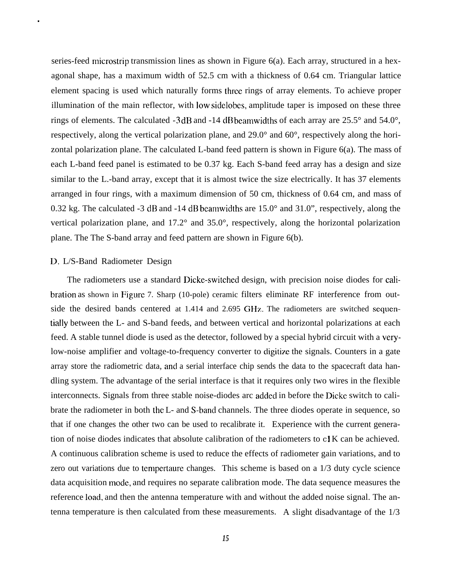series-feed microstrip transmission lines as shown in Figure 6(a). Each array, structured in a hexagonal shape, has a maximum width of 52.5 cm with a thickness of 0.64 cm. Triangular lattice element spacing is used which naturally forms three rings of array elements. To achieve proper illumination of the main reflector, with low sidelobcs, amplitude taper is imposed on these three rings of elements. The calculated  $-3 dB$  and  $-14 dB$  beamwidths of each array are 25.5° and 54.0°, respectively, along the vertical polarization plane, and 29.0° and 60°, respectively along the horizontal polarization plane. The calculated L-band feed pattern is shown in Figure 6(a). The mass of each L-band feed panel is estimated to be 0.37 kg. Each S-band feed array has a design and size similar to the L.-band array, except that it is almost twice the size electrically. It has 37 elements arranged in four rings, with a maximum dimension of 50 cm, thickness of 0.64 cm, and mass of 0.32 kg. The calculated -3 dB and -14 dB bcamwidths are 15.0° and 31.0", respectively, along the vertical polarization plane, and 17.2° and 35.0°, respectively, along the horizontal polarization plane. The The S-band array and feed pattern are shown in Figure 6(b).

### D. L/S-Band Radiometer Design

.

The radiometers use a standard Dicke-switched design, with precision noise diodes for calibration as shown in Figure 7. Sharp (10-pole) ceramic filters eliminate RF interference from outside the desired bands centered at 1.414 and 2.695 GHz.. The radiometers are switched sequentially between the L- and S-band feeds, and between vertical and horizontal polarizations at each feed. A stable tunnel diode is used as the detector, followed by a special hybrid circuit with a verylow-noise amplifier and voltage-to-frequency converter to digitize the signals. Counters in a gate array store the radiometric data, and a serial interface chip sends the data to the spacecraft data handling system. The advantage of the serial interface is that it requires only two wires in the flexible interconnects. Signals from three stable noise-diodes arc addeci in before the Dicke switch to calibrate the radiometer in both the L- and S-band channels. The three diodes operate in sequence, so that if one changes the other two can be used to recalibrate it. Experience with the current generation of noise diodes indicates that absolute calibration of the radiometers to c 1 K can be achieved. A continuous calibration scheme is used to reduce the effects of radiometer gain variations, and to zero out variations due to tempertaure changes. This scheme is based on a 1/3 duty cycle science data acquisition mode, and requires no separate calibration mode. The data sequence measures the reference load, and then the antenna temperature with and without the added noise signal. The antenna temperature is then calculated from these measurements. A slight disadvantage of the 1/3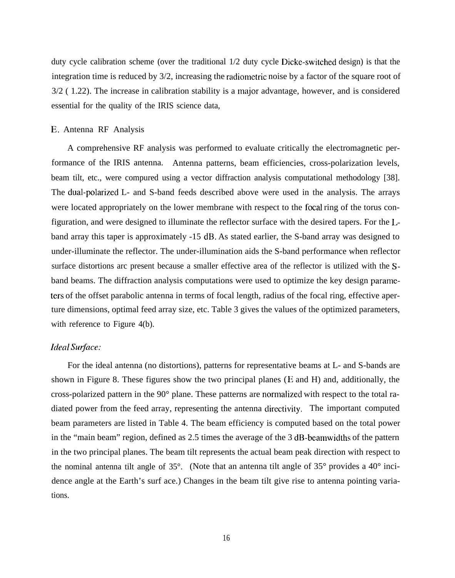duty cycle calibration scheme (over the traditional 1/2 duty cycle Dicke-switched design) is that the integration time is reduced by 3/2, increasing the radiometric noise by a factor of the square root of  $3/2$  (1.22). The increase in calibration stability is a major advantage, however, and is considered essential for the quality of the IRIS science data,

#### E. Antenna RF Analysis

A comprehensive RF analysis was performed to evaluate critically the electromagnetic performance of the IRIS antenna. Antenna patterns, beam efficiencies, cross-polarization levels, beam tilt, etc., were compured using a vector diffraction analysis computational methodology [38]. The dual-polarized L- and S-band feeds described above were used in the analysis. The arrays were located appropriately on the lower membrane with respect to the focal ring of the torus configuration, and were designed to illuminate the reflector surface with the desired tapers. For the Lband array this taper is approximately -15 dB. As stated earlier, the S-band array was designed to under-illuminate the reflector. The under-illumination aids the S-band performance when reflector surface distortions arc present because a smaller effective area of the reflector is utilized with the Sband beams. The diffraction analysis computations were used to optimize the key design parameters of the offset parabolic antenna in terms of focal length, radius of the focal ring, effective aperture dimensions, optimal feed array size, etc. Table 3 gives the values of the optimized parameters, with reference to Figure 4(b).

# **Ideal Surface:**

For the ideal antenna (no distortions), patterns for representative beams at L- and S-bands are shown in Figure 8. These figures show the two principal planes (E and H) and, additionally, the cross-polarized pattern in the 90° plane. These patterns are norrnatized with respect to the total radiated power from the feed array, representing the antenna directivity. The important computed beam parameters are listed in Table 4. The beam efficiency is computed based on the total power in the "main beam" region, defined as 2.5 times the average of the 3 dB-beamwidths of the pattern in the two principal planes. The beam tilt represents the actual beam peak direction with respect to the nominal antenna tilt angle of 35°. (Note that an antenna tilt angle of 35° provides a 40° incidence angle at the Earth's surf ace.) Changes in the beam tilt give rise to antenna pointing variations.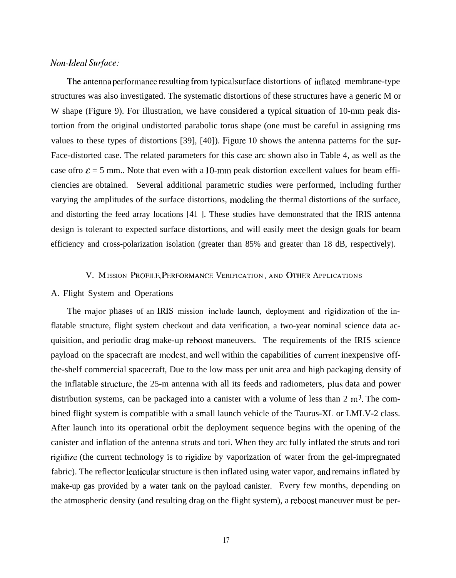# *Non-Ided Smfhce:*

The antenna performance resulting from typical surface distortions of inflated membrane-type structures was also investigated. The systematic distortions of these structures have a generic M or W shape (Figure 9). For illustration, we have considered a typical situation of 10-mm peak distortion from the original undistorted parabolic torus shape (one must be careful in assigning rms values to these types of distortions [39], [40]). Figure 10 shows the antenna patterns for the sur-Face-distorted case. The related parameters for this case arc shown also in Table 4, as well as the case ofro  $\epsilon = 5$  mm.. Note that even with a 10-mm peak distortion excellent values for beam efficiencies are obtained. Several additional parametric studies were performed, including further varying the amplitudes of the surface distortions, moclcling the thermal distortions of the surface, and distorting the feed array locations [41 ]. These studies have demonstrated that the IRIS antenna design is tolerant to expected surface distortions, and will easily meet the design goals for beam efficiency and cross-polarization isolation (greater than 85% and greater than 18 dB, respectively).

# V. MISSION PROFILE PERFORMANCE VERIFICATION, AND OTHER APPLICATIONS

# A. Flight System and Operations

The major phases of an IRIS mission include launch, deployment and rigidization of the inflatable structure, flight system checkout and data verification, a two-year nominal science data acquisition, and periodic drag make-up reboost maneuvers. The requirements of the IRIS science payload on the spacecraft are modest, and well within the capabilities of current inexpensive offthe-shelf commercial spacecraft, Due to the low mass per unit area and high packaging density of the inflatable structure, the 25-m antenna with all its feeds and radiometers, plus data and power distribution systems, can be packaged into a canister with a volume of less than 2 m<sup>3</sup>. The combined flight system is compatible with a small launch vehicle of the Taurus-XL or LMLV-2 class. After launch into its operational orbit the deployment sequence begins with the opening of the canister and inflation of the antenna struts and tori. When they arc fully inflated the struts and tori rigidize (the current technology is to rigidize by vaporization of water from the gel-impregnated fabric). The reflector lenticular structure is then inflated using water vapor, and remains inflated by make-up gas provided by a water tank on the payload canister. Every few months, depending on the atmospheric density (and resulting drag on the flight system), a rcboost maneuver must be per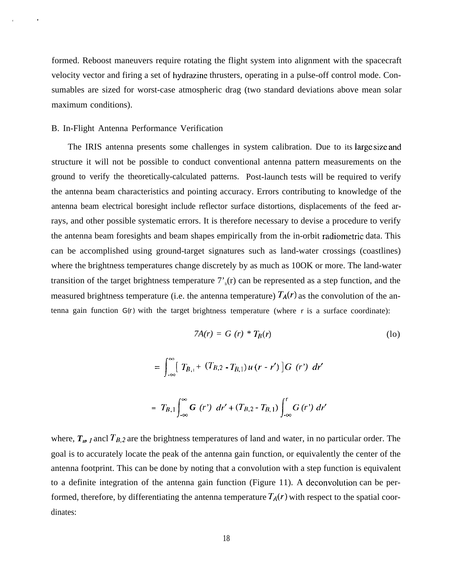formed. Reboost maneuvers require rotating the flight system into alignment with the spacecraft velocity vector and firing a set of hydrazinc thrusters, operating in a pulse-off control mode. Consumables are sized for worst-case atmospheric drag (two standard deviations above mean solar maximum conditions).

#### B. In-Flight Antenna Performance Verification

The IRIS antenna presents some challenges in system calibration. Due to its large size and structure it will not be possible to conduct conventional antenna pattern measurements on the ground to verify the theoretically-calculated patterns. Post-launch tests will be required to verify the antenna beam characteristics and pointing accuracy. Errors contributing to knowledge of the antenna beam electrical boresight include reflector surface distortions, displacements of the feed arrays, and other possible systematic errors. It is therefore necessary to devise a procedure to verify the antenna beam foresights and beam shapes empirically from the in-orbit radiometric data. This can be accomplished using ground-target signatures such as land-water crossings (coastlines) where the brightness temperatures change discretely by as much as 10OK or more. The land-water transition of the target brightness temperature  $7<sub>II</sub>(r)$  can be represented as a step function, and the measured brightness temperature (i.e. the antenna temperature)  $T_A(r)$  as the convolution of the antenna gain function *G(r)* with the target brightness temperature (where *r* is a surface coordinate):

$$
7A(r) = G(r) * T_B(r)
$$
 (lo)

$$
= \int_{-\infty}^{\infty} \left[ T_{B_{1}+} (T_{B_{2}-T_{B_{1}}}) u (r-r') \right] G(r') dr'
$$
  

$$
= T_{B_{1}1} \int_{-\infty}^{\infty} G(r') dr' + (T_{B_{2}-T_{B_{1}}}) \int_{-\infty}^{r} G(r') dr'
$$

where,  $T_{\mu}$ , *I* ancl  $T_{B,2}$  are the brightness temperatures of land and water, in no particular order. The goal is to accurately locate the peak of the antenna gain function, or equivalently the center of the antenna footprint. This can be done by noting that a convolution with a step function is equivalent to a definite integration of the antenna gain function (Figure 11). A deconvolution can be performed, therefore, by differentiating the antenna temperature  $T_A(r)$  with respect to the spatial coordinates: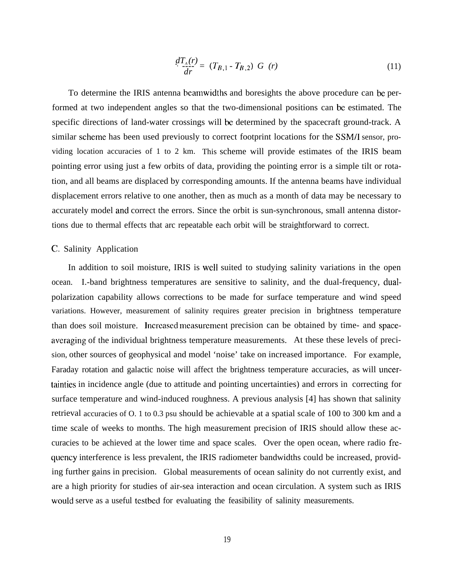$$
\frac{dT_A(r)}{dr} = (T_{B,1} - T_{B,2}) G(r)
$$
\n(11)

To determine the IRIS antenna beamwidths and boresights the above procedure can be performed at two independent angles so that the two-dimensional positions can be estimated. The specific directions of land-water crossings will be determined by the spacecraft ground-track. A similar scheme has been used previously to correct footprint locations for the SSM/I sensor, providing location accuracies of 1 to 2 km. This scheme will provide estimates of the IRIS beam pointing error using just a few orbits of data, providing the pointing error is a simple tilt or rotation, and all beams are displaced by corresponding amounts. If the antenna beams have individual displacement errors relative to one another, then as much as a month of data may be necessary to accurately model and correct the errors. Since the orbit is sun-synchronous, small antenna distortions due to thermal effects that arc repeatable each orbit will be straightforward to correct.

#### C. Salinity Application

In addition to soil moisture, IRIS is well suited to studying salinity variations in the open ocean. I.-band brightness temperatures are sensitive to salinity, and the dual-frequency, dualpolarization capability allows corrections to be made for surface temperature and wind speed variations. However, measurement of salinity requires greater precision in brightness temperature than does soil moisture. Increased measurement precision can be obtained by time- and spaceavcraging of the individual brightness temperature measurements. At these these levels of precision, other sources of geophysical and model 'noise' take on increased importance. For example, Faraday rotation and galactic noise will affect the brightness temperature accuracies, as will uncertainties in incidence angle (due to attitude and pointing uncertainties) and errors in correcting for surface temperature and wind-induced roughness. A previous analysis [4] has shown that salinity retrieval accuracies of O. 1 to 0.3 psu should be achievable at a spatial scale of 100 to 300 km and a time scale of weeks to months. The high measurement precision of IRIS should allow these accuracies to be achieved at the lower time and space scales. Over the open ocean, where radio frequency interference is less prevalent, the IRIS radiometer bandwidths could be increased, providing further gains in precision. Global measurements of ocean salinity do not currently exist, and are a high priority for studies of air-sea interaction and ocean circulation. A system such as IRIS would serve as a useful testbcd for evaluating the feasibility of salinity measurements.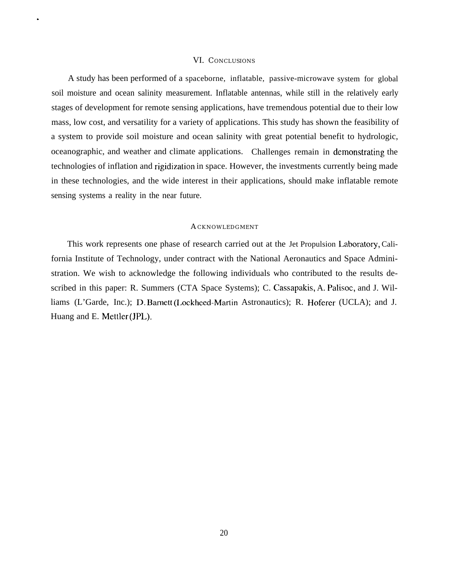#### VI. CONCLUSIONS

.

A study has been performed of a spaceborne, inflatable, passive-microwave system for global soil moisture and ocean salinity measurement. Inflatable antennas, while still in the relatively early stages of development for remote sensing applications, have tremendous potential due to their low mass, low cost, and versatility for a variety of applications. This study has shown the feasibility of a system to provide soil moisture and ocean salinity with great potential benefit to hydrologic, oceanographic, and weather and climate applications. Challenges remain in clemonstrating the technologies of inflation and rigidization in space. However, the investments currently being made in these technologies, and the wide interest in their applications, should make inflatable remote sensing systems a reality in the near future.

#### ACKNOWLEDGMENT

This work represents one phase of research carried out at the Jet Propulsion Laboratory, California Institute of Technology, under contract with the National Aeronautics and Space Administration. We wish to acknowledge the following individuals who contributed to the results described in this paper: R. Summers (CTA Space Systems); C. Cassapakis, A. Palisoc, and J. Williams (L'Garde, Inc.); D. Barnett (Lockheed-Martin Astronautics); R. Hoferer (UCLA); and J. Huang and E. Mettler (JPL).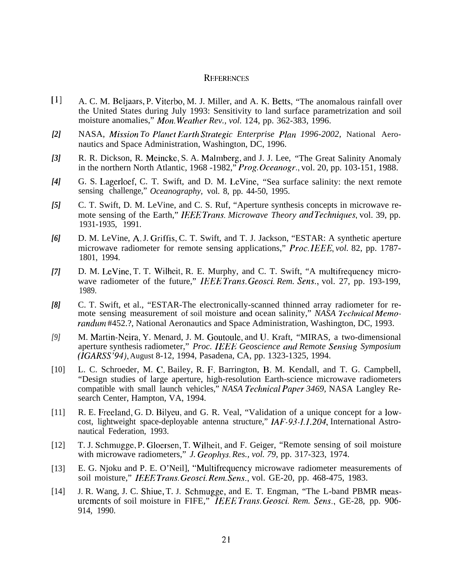#### **REFERENCES**

- [1] A. C. M. Beljaars, P. Viterbo, M. J. Miller, and A. K. Betts, "The anomalous rainfall over the United States during July 1993: Sensitivity to land surface parametrization and soil moisture anomalies," Mon. *Wedher Rev., vol.* 124, pp. 362-383, 1996.
- *[2]* NASA, *Missiorl To Planet Earth Strotegic Enterprise Plan 1996-2002,* National Aeronautics and Space Administration, Washington, DC, 1996.
- *[3]* R. R. Dickson, R. Meincke, S. A. Malmberg, and J. J. Lee, "The Great Salinity Anomaly in the northern North Atlantic, 1968 -1982," *Pros. Ocemogr.,* vol. 20, pp. 103-151, 1988.
- *[4]* G. S. Lagerloef, C. T. Swift, and D. M. LeVine, "Sea surface salinity: the next remote sensing challenge," *Oceanography,* vol. 8, pp. 44-50, 1995.
- *[5]* C. T. Swift, D. M. LeVine, and C. S. Ruf, "Aperture synthesis concepts in microwave remote sensing of the Earth," *IEEE Trans. Microwave Theory and Techniques*, vol. 39, pp. 1931-1935, 1991.
- *[6]* D. M. LeVine, A, J. Griffis, C. T. Swift, and T. J. Jackson, "ESTAR: A synthetic aperture microwave radiometer for remote sensing applications," *Proc. lEEE, vol.* 82, pp. 1787- 1801, 1994.
- *[7]* D. M. LeVine, T. T. Wilheit, R. E. Murphy, and C. T. Swift, "A multifrequency microwave radiometer of the future," *IEEE Trans. Geosci. Rem. Sens.*, vol. 27, pp. 193-199, 1989.
- *[8]* C. T. Swift, et al., "ESTAR-The electronically-scanned thinned array radiometer for remote sensing measurement of soil moisture and ocean salinity," *NASA Technical Memormdwn* #452.?, National Aeronautics and Space Administration, Washington, DC, 1993.
- *[9]* M. Martin-Neira, Y. Menard, J. M. Goutoule, and U. Kraft, "MIRAS, a two-dimensional aperture synthesis radiometer," Proc. IEEE Geoscience and Remote Sensing Symposium *(IGARSS'94),* August 8-12, 1994, Pasadena, CA, pp. 1323-1325, 1994.
- [10] L. C. Schroeder, M. C. Bailey, R. F. Barrington, B. M. Kendall, and T. G. Campbell, "Design studies of large aperture, high-resolution Earth-science microwave radiometers compatible with small launch vehicles," *NASA Technical Paper 3469*, NASA Langley Research Center, Hampton, VA, 1994.
- $[11]$ R. E. Freeland, G. D. Bilyeu, and G. R. Veal, "Validation of a unique concept for a lowcost, lightweight space-deployable antenna structure," IAF-93-1.1.204, International Astronautical Federation, 1993.
- [12] T. J. Schmugge, P. Gloersen, T. Wilheit, and F. Geiger, "Remote sensing of soil moisture with microwave radiometers," *J. Geophys. Res., vol. 79, pp. 317-323, 1974.*
- [13] E. G. Njoku and P. E. O'Neil], "Multifrequency microwave radiometer measurements of soil moisture," IEEE *Trws. Gcosci. Rem Sem.,* vol. GE-20, pp. 468-475, 1983.
- $[14]$ J. R. Wang, J. C. Shiue, T. J. Schmugge, and E. T. Engman, "The L-band PBMR measurements of soil moisture in FIFE," IEEE Trans. Geosci. Rem. Sens., GE-28, pp. 906-914, 1990.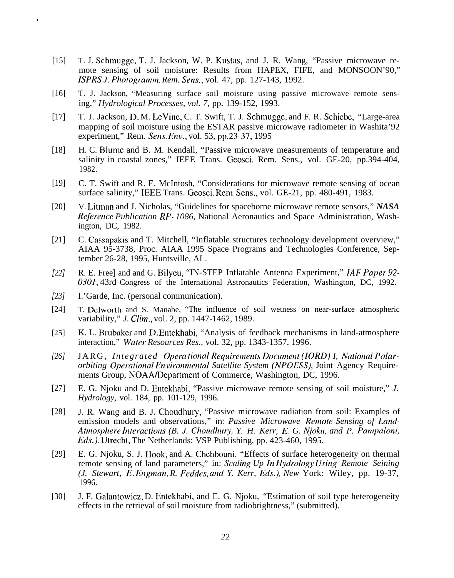- [15] T. J. Schmuggc, T. J. Jackson, W. P. Kustas, and J. R. Wang, "Passive microwave remote sensing of soil moisture: Results from HAPEX, FIFE, and MONSOON'90," *ISPRS J. Photogrcunm. Rem. Sem.,* vol. 47, pp. 127-143, 1992.
- [16] T. J. Jackson, "Measuring surface soil moisture using passive microwave remote sensing," *Hydrological Processes, vol. 7,* pp. 139-152, 1993.
- [17] T. J. Jackson, D. M. LcVinc, C. T. Swift, T. J. Schmugge, and F. R. Schiebe, "Large-area mapping of soil moisture using the ESTAR passive microwave radiometer in Washita'92 experiment," Rem. Sens.  $Env$ , vol. 53, pp.23-37, 1995
- [18] H. C. Blume and B. M. Kendall, "Passive microwave measurements of temperature and salinity in coastal zones," IEEE Trans. Geosci. Rem. Sens., vol. GE-20, pp.394-404, 1982.
- [19] C. T. Swift and R. E. McIntosh, "Considerations for microwave remote sensing of ocean surface salinity," IEEE Trans. Geosci. Rem. Sens., vol. GE-21, pp. 480-491, 1983.
- [20] V. Litman and J. Nicholas, "Guidelines for spaceborne microwave remote sensors," *NASA Rejerence Publication RP- 1086,* National Aeronautics and Space Administration, Washington, DC, 1982.
- [21] C. Cassapakis and T. Mitchell, "Inflatable structures technology development overview," AIAA 95-3738, Proc. AIAA 1995 Space Programs and Technologies Conference, September 26-28, 1995, Huntsville, AL.
- *[22]* R. E. Free] and and G. Bilyeu, "IN-STEP Inflatable Antenna Experiment," *IAF Paper* 92- 0301, 43rd Congress of the International Astronautics Federation, Washington, DC, 1992.
- *[23]* I.'Garde, Inc. (personal communication).

,

- [24] T. Delworth and S. Manabe, "The influence of soil wetness on near-surface atmospheric variability," *J. Clim.,* vol. 2, pp. 1447-1462, 1989.
- [25] K. L. Brubaker and D. Entekhabi, "Analysis of feedback mechanisms in land-atmosphere interaction," *Water Resources Res.,* vol. 32, pp. 1343-1357, 1996.
- *[26]* **JARG, Integrated Operational Requirements Document (IORD) I, National Polar***orbiting Operational Environmental Satellite System (NPOESS), Joint Agency Require*ments Group, NOAA/Department of Commerce, Washington, DC, 1996.
- [27] E. G. Njoku and D. Entekhabi, "Passive microwave remote sensing of soil moisture," *J. Hydrology,* vol. 184, pp. 101-129, 1996.
- [28] J. R. Wang and B. J. Choudhury, "Passive microwave radiation from soil: Examples of emission models and observations," in: Passive Microwave Remote Sensing of Land-*Attnosphere Irlteractiom (B. J. Choudhury, Y. H. Kerr, E. G. Njoku, and P. Pampcdorli, Eds.*), Utrecht, The Netherlands: VSP Publishing, pp. 423-460, 1995.
- [29] E. G. Njoku, S. J. IIook, and A. Chehbouni, "Effects of surface heterogeneity on thermal remote sensing of land parameters," in: *Scaling Up In Hydrology Using Remote Seining (J. Stewart, E. Ehgnuzn, R. Feddes, ad Y. Kerr, Ms.), New* York: Wiley, pp. 19-37, 1996.
- [30] J. F. Galantowicz, D. Entekhabi, and E. G. Njoku, "Estimation of soil type heterogeneity effects in the retrieval of soil moisture from radiobrightness," (submitted).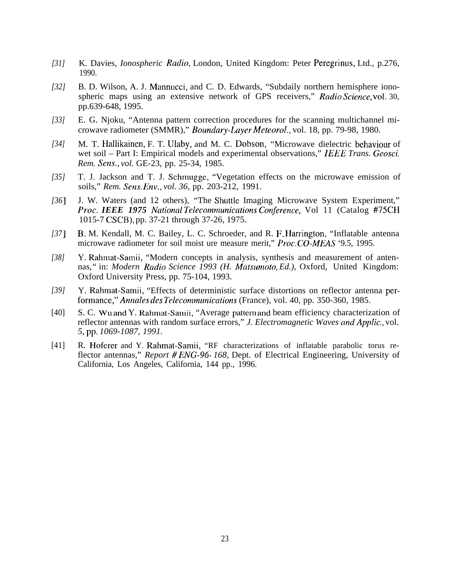- *[31]* K. Davies, *Ionospheric Radio,* London, United Kingdom: Peter Peregrinus, Ltd., p.276, 1990.
- *[32]* B. D. Wilson, A. J. Mannucci, and C. D. Edwards, "Subdaily northern hemisphere ionospheric maps using an extensive network of GPS receivers," Radio Science, vol. 30, pp.639-648, 1995.
- *[33]* E. G. Njoku, "Antenna pattern correction procedures for the scanning multichannel microwave radiometer (SMMR)," *Boundary-Layer Meteorol.*, vol. 18, pp. 79-98, 1980.
- *[34]* M. T. Hallikainen, F. T. lJlaby, and M. C. Dobson, "Microwave dielectric behaviour of wet soil – Part I: Empirical models and experimental observations," IEEE Trans. Geosci. *Rem. Sens., vol.* GE-23, pp. 25-34, 1985.
- *[35]* T. J. Jackson and T. J. Schrnugge, "Vegetation effects on the microwave emission of soils," *Rem. Sem. Env., vol. 36,* pp. 203-212, 1991.
- *[36* J. W. Waters (and 12 others), "The Shuttle Imaging Microwave System Experiment," *Proc.* **IEEE 1975** *National Telecommunications Conference*, Vol 11 (Catalog #75CH 1015-7 CSCB), pp. 37-21 through 37-26, 1975.
- *[37* B. M. Kendall, M. C. Bailey, L. C. Schroeder, and R. F. IIarrington, "Inflatable antenna microwave radiometer for soil moist ure measure merit," *Proc. CO-A4EAS* '9.5, 1995.
- *[38]* Y. Rahmat-Samii, "Modern concepts in analysis, synthesis and measurement of antennas," in: *Modern Radio Science 1993 (H. Matswnoto, Ed.),* Oxford, United Kingdom: Oxford University Press, pp. 75-104, 1993.
- *[39]* Y. Rahmat-Samii, "Effects of deterministic surface distortions on reflector antenna performance," *Annales des Telecommunications* (France), vol. 40, pp. 350-360, 1985.
- [40] S. C. Wu and Y. Rahmat-Samii, "Average pattern and beam efficiency characterization of reflector antennas with random surface errors," *J. Electromagnetic Waves and Applic.,* vol. *5, Pp. 1069-1087, 1991.*
- [41] R. Hoferer and Y. Rahmat-Samii, "RF characterizations of inflatable parabolic torus reflector antennas," *Report # ENG-96- 168,* Dept. of Electrical Engineering, University of California, Los Angeles, California, 144 pp., 1996.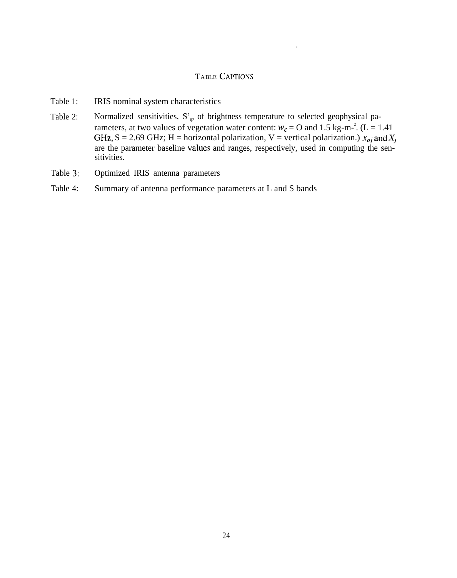# TABLE CAPTIONS

- Table 1: IRIS nominal system characteristics
- Table 2: Normalized sensitivities,  $S_{ij}$ , of brightness temperature to selected geophysical parameters, at two values of vegetation water content:  $w_c = O$  and 1.5 kg-m<sup>-2</sup>. (L = 1.41) GHz,  $S = 2.69$  GHz; H = horizontal polarization, V = vertical polarization.)  $x_{oj}$  and  $X_j$ are the parameter baseline values and ranges, respectively, used in computing the sensitivities.
- Table 3: Optimized IRIS antenna parameters
- Table 4: Summary of antenna performance parameters at L and S bands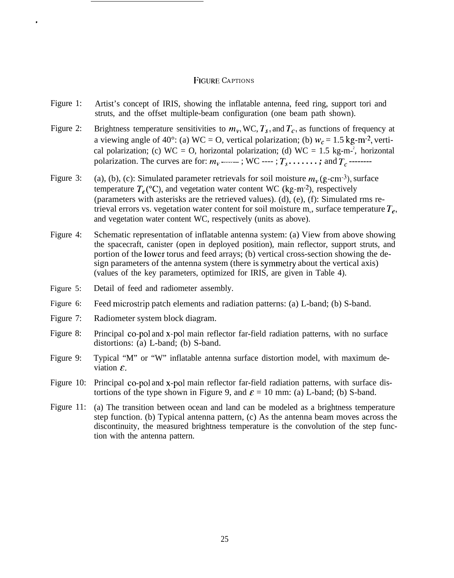#### FIGURE CAPTIONS

- Figure 1: Artist's concept of IRIS, showing the inflatable antenna, feed ring, support tori and struts, and the offset multiple-beam configuration (one beam path shown).
- Figure 2: Brightness temperature sensitivities to  $m_v$ , WC,  $T_s$ , and  $T_c$ , as functions of frequency at a viewing angle of 40°: (a) WC = O, vertical polarization; (b)  $w_c = 1.5$  kg-m<sup>-2</sup>, vertical polarization; (c) WC = O, horizontal polarization; (d) WC = 1.5 kg-m- $^2$ , horizontal polarization. The curves are for:  $m_v$  —— ; WC ---- ;  $T_s$ ......; and  $T_c$
- Figure 3: (a), (b), (c): Simulated parameter retrievals for soil moisture  $m<sub>v</sub>$  (g-cm<sup>-3</sup>), surface temperature  $T_e$  ( $^{\circ}$ C), and vegetation water content WC (kg-m<sup>-2</sup>), respectively (parameters with asterisks are the retrieved values). (d), (e), (f): Simulated rms retrieval errors vs. vegetation water content for soil moisture  $m_{\scriptscriptstyle v}$ , surface temperature  $T_e$ , and vegetation water content WC, respectively (units as above).
- Figure 4: Schematic representation of inflatable antenna system: (a) View from above showing the spacecraft, canister (open in deployed position), main reflector, support struts, and portion of the lower torus and feed arrays; (b) vertical cross-section showing the design parameters of the antenna system (there is symmetty about the vertical axis) (values of the key parameters, optimized for IRIS, are given in Table 4).
- Figure 5: Detail of feed and radiometer assembly.
- Figure 6: Feed microstrip patch elements and radiation patterns: (a) L-band; (b) S-band.
- Figure 7: Radiometer system block diagram.

.

- Figure 8: Principal co-pol and x-pol main reflector far-field radiation patterns, with no surface distortions: (a) L-band; (b) S-band.
- Figure 9: Typical "M" or "W" inflatable antenna surface distortion model, with maximum deviation  $\varepsilon$ .
- Figure 10: Principal co-pol and x-pol main reflector far-field radiation patterns, with surface distortions of the type shown in Figure 9, and  $\varepsilon = 10$  mm: (a) L-band; (b) S-band.
- Figure 11: (a) The transition between ocean and land can be modeled as a brightness temperature step function. (b) Typical antenna pattern, (c) As the antenna beam moves across the discontinuity, the measured brightness temperature is the convolution of the step function with the antenna pattern.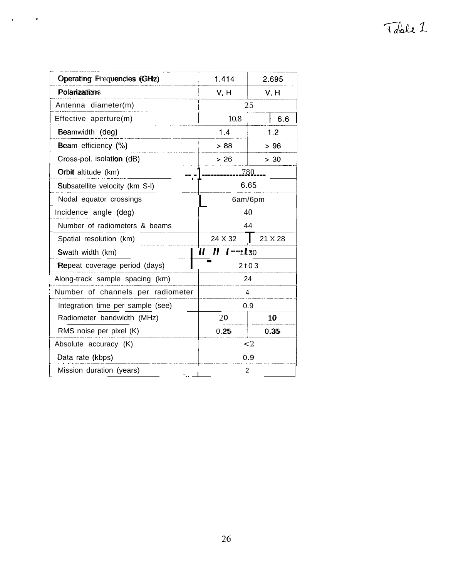| <b>Operating Frequencies (GHz)</b>         | 1.414                                  | 2.695  |  |
|--------------------------------------------|----------------------------------------|--------|--|
| Polarizations                              | V, H<br>V, H                           |        |  |
| Antenna diameter(m)                        | 25                                     |        |  |
| Effective aperture(m)                      | 10.8<br>6.6                            |        |  |
| <b>Beamwidth (deg)</b>                     | 1.4                                    | 1.2    |  |
| Beam efficiency (%)                        | > 88                                   | >96    |  |
| Cross-pol. isolation (dB)                  | > 26                                   | $> 30$ |  |
| Orbit altitude (km)                        | 780                                    |        |  |
| Subsatellite velocity (km S-I)             | 6.65                                   |        |  |
| Nodal equator crossings                    | 6am/6pm                                |        |  |
| Incidence angle (deg)                      | 40                                     |        |  |
| Number of radiometers & beams              | 44                                     |        |  |
| Spatial resolution (km)                    | 21 X 28<br>24 X 32                     |        |  |
| Swath width (km)                           | $1 - 130$<br>$\boldsymbol{\eta}$<br>ll |        |  |
| 'Repeat coverage period (days)             | 2t03                                   |        |  |
| Along-track sample spacing (km)            | 24                                     |        |  |
| Number of channels per radiometer          | 4                                      |        |  |
| Integration time per sample (see)          | 0.9                                    |        |  |
| Radiometer bandwidth (MHz)                 | 20                                     | 10     |  |
| RMS noise per pixel (K)                    | 0.25                                   | 0.35   |  |
| Absolute accuracy (K)                      | $\lt 2$                                |        |  |
| Data rate (kbps)                           | 0.9                                    |        |  |
| Mission duration (years)<br>$\overline{2}$ |                                        |        |  |

.

 $\bar{\phantom{a}}$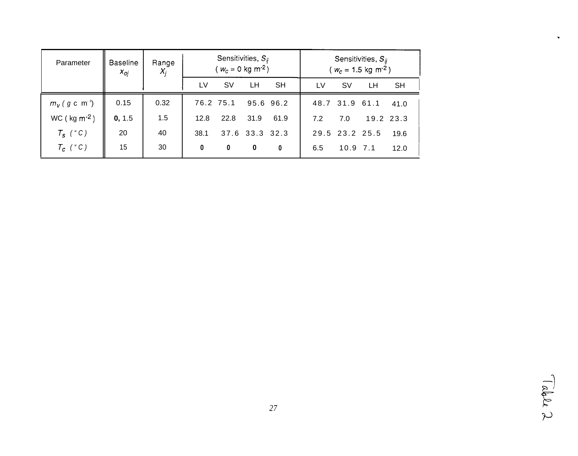| Parameter                   | <b>Baseline</b><br>$x_{oi}$ | Range<br>$X_i$ | Sensitivities, $S_{ii}$<br>( $w_c = 0$ kg m <sup>-2</sup> ) |              |                | Sensitivities, $S_{ii}$<br>( $w_c = 1.5$ kg m <sup>-2</sup> ) |     |                |     |           |
|-----------------------------|-----------------------------|----------------|-------------------------------------------------------------|--------------|----------------|---------------------------------------------------------------|-----|----------------|-----|-----------|
|                             |                             |                | LV                                                          | <b>SV</b>    | LН             | SH                                                            | LV  | sv             | LН  | <b>SH</b> |
| $m_V$ (g c m <sup>3</sup> ) | 0.15                        | 0.32           |                                                             | 76.2 75.1    |                | 95.6 96.2                                                     |     | 48.7 31.9 61.1 |     | 41.0      |
| $WC$ (kg m <sup>-2</sup> )  | 0, 1.5                      | 1.5            | 12.8                                                        | 22.8         | 31.9           | 61.9                                                          | 7.2 | 7.0            |     | 19.2 23.3 |
| $T_S$ ("C)                  | 20                          | 40             | 38.1                                                        |              | 37.6 33.3 32.3 |                                                               |     | 29.5 23.2 25.5 |     | 19.6      |
| $T_c$ ("C)                  | 15                          | 30             | 0                                                           | $\mathbf{0}$ | $\bf{0}$       | 0                                                             | 6.5 | 10.9           | 7.1 | 12.0      |

 $\overline{e}$  ,  $\mathcal{L}_{\ell}$ 

.

I

I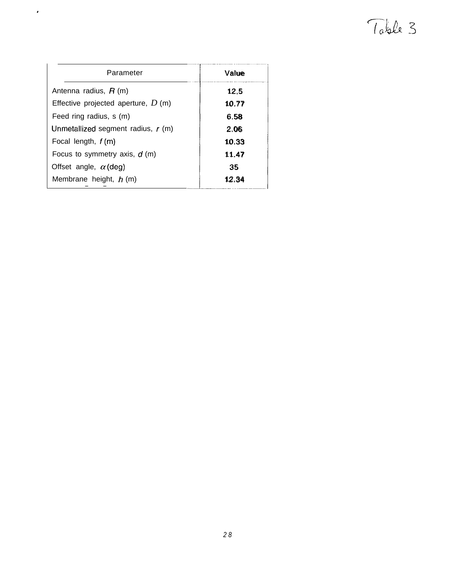# $Table$  3

| Parameter                            | Value |
|--------------------------------------|-------|
| Antenna radius, $R$ (m)              | 12,5  |
| Effective projected aperture, $D(m)$ | 10.77 |
| Feed ring radius, s (m)              | 6.58  |
| Unmetallized segment radius, $r$ (m) | 2.06  |
| Focal length, $f(m)$                 | 10.33 |
| Focus to symmetry axis, $d$ (m)      | 11.47 |
| Offset angle, $\alpha$ (deg)         | 35    |
| Membrane height, $h(m)$              | 12.34 |

.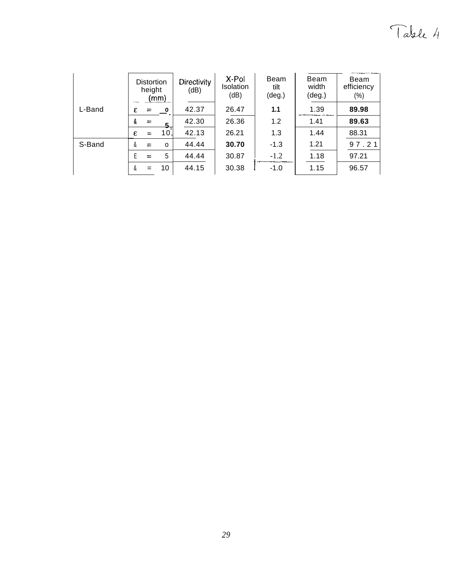# Table 4

|        | <b>Distortion</b><br>height<br>(mm) | X-Pol<br><b>Directivity</b><br>Isolation<br>(dB)<br>(dB) |       | Beam<br>tilt<br>(deg.) | Beam<br>width<br>$(\text{deg.})$ | Beam<br>efficiency<br>$(\%)$ |  |
|--------|-------------------------------------|----------------------------------------------------------|-------|------------------------|----------------------------------|------------------------------|--|
| L-Band | ε<br>_0<br>≕                        | 42.37                                                    | 26.47 | 1.1                    | 1.39                             | 89.98                        |  |
|        | &<br>$=$                            | 42.30                                                    | 26.36 | 1.2                    | 1.41                             | 89.63                        |  |
|        | 10.<br>£.<br>$=$                    | 42.13                                                    | 26.21 | 1.3                    | 1.44                             | 88.31                        |  |
| S-Band | &<br>$\Omega$<br>$\equiv$           | 44.44                                                    | 30.70 | $-1.3$                 | 1.21                             | 97.21                        |  |
|        | 5<br>$\equiv$                       | 44.44                                                    | 30.87 | $-1.2$                 | 1.18                             | 97.21                        |  |
|        | 10<br>&<br>$=$                      | 44.15                                                    | 30.38 | $-1.0$                 | 1.15                             | 96.57                        |  |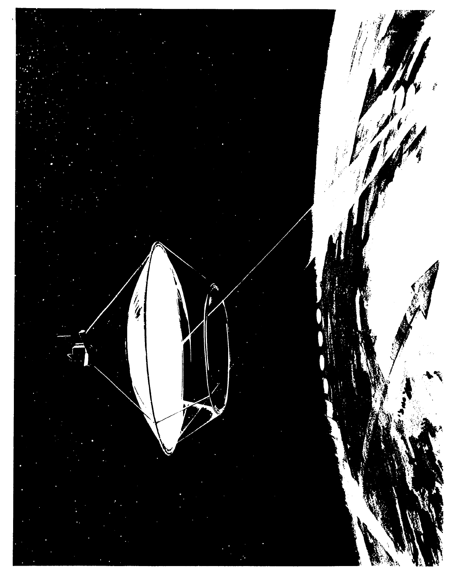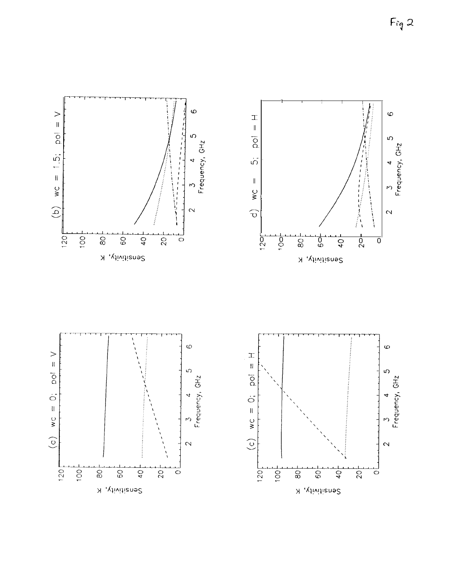$Fig 2$ 

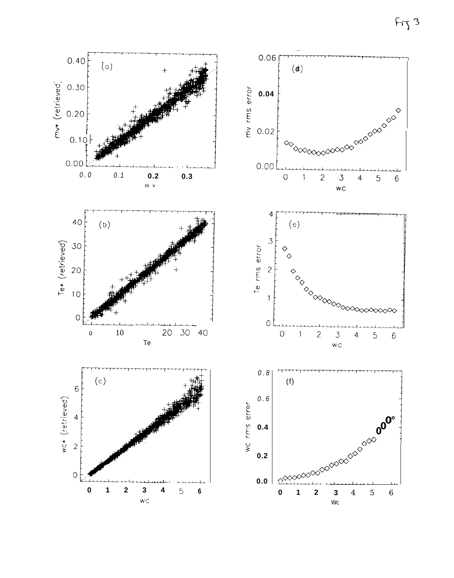$F_{\tilde{J}}3$ 

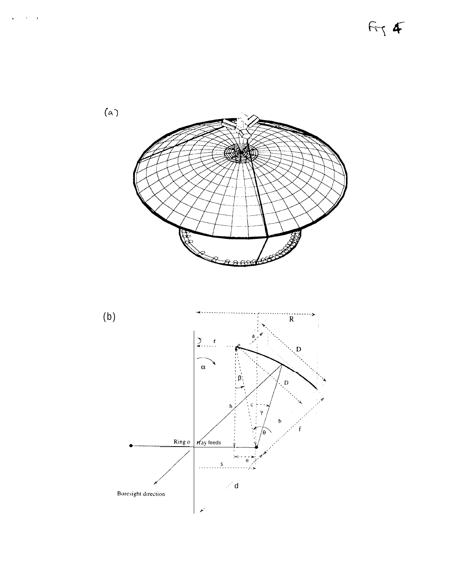$frrf$  4



 $\chi^2$  and  $\chi^2$ 

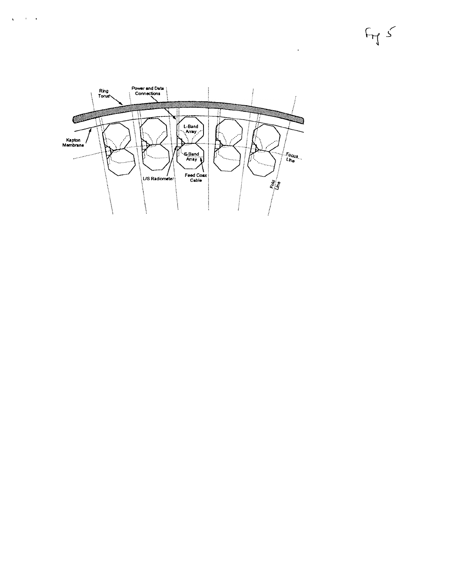$F_{\uparrow\uparrow}$  5

 $\ddot{\phantom{a}}$ 



 $\chi^2=0.000$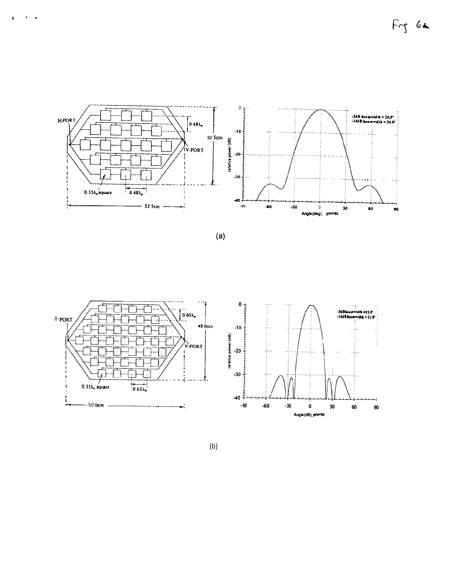

 $\ddot{\phantom{a}}$ 

 $\alpha$  ,  $\alpha$ 

 $(a)$ 



 $(b)$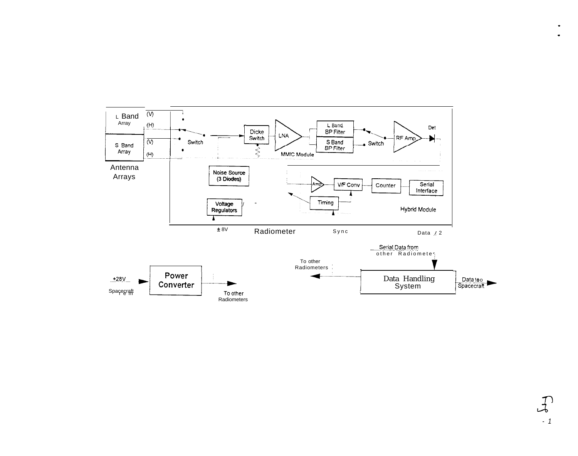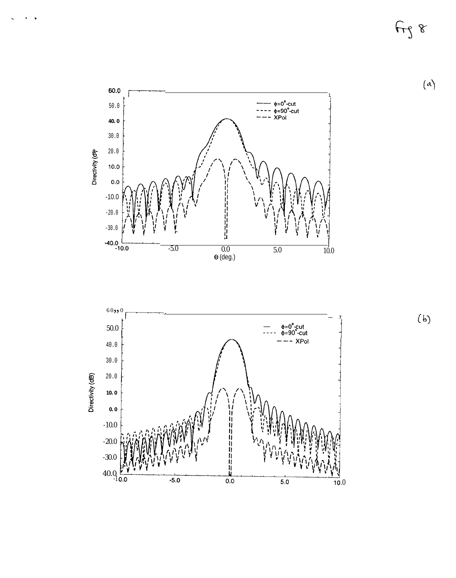$frg$ 







 $(b)$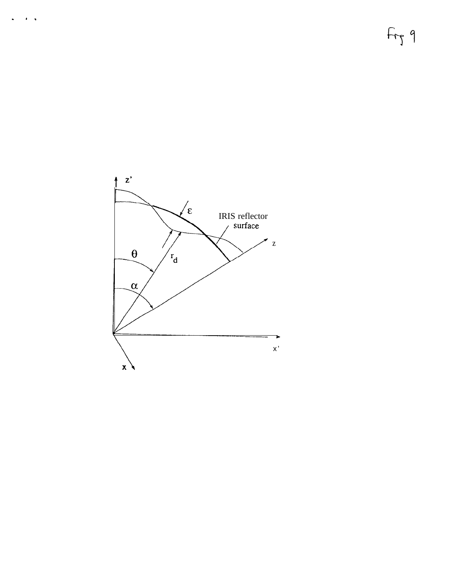

 $\sim$   $\sim$ 

 $\ddot{\phantom{a}}$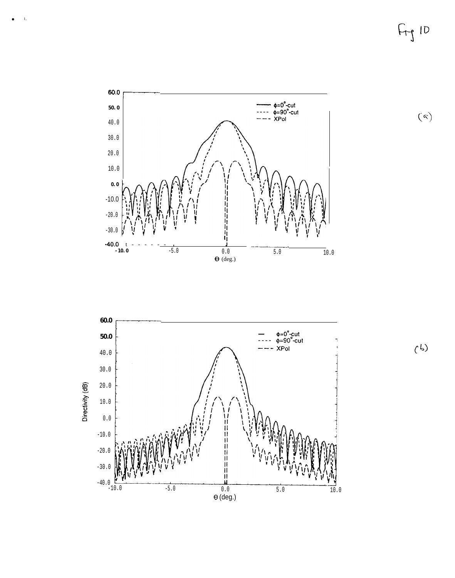$F_{rr}$  10

 $(\mathbf{z})$ 



 $\mathbf{L}$ 



 $(4)$